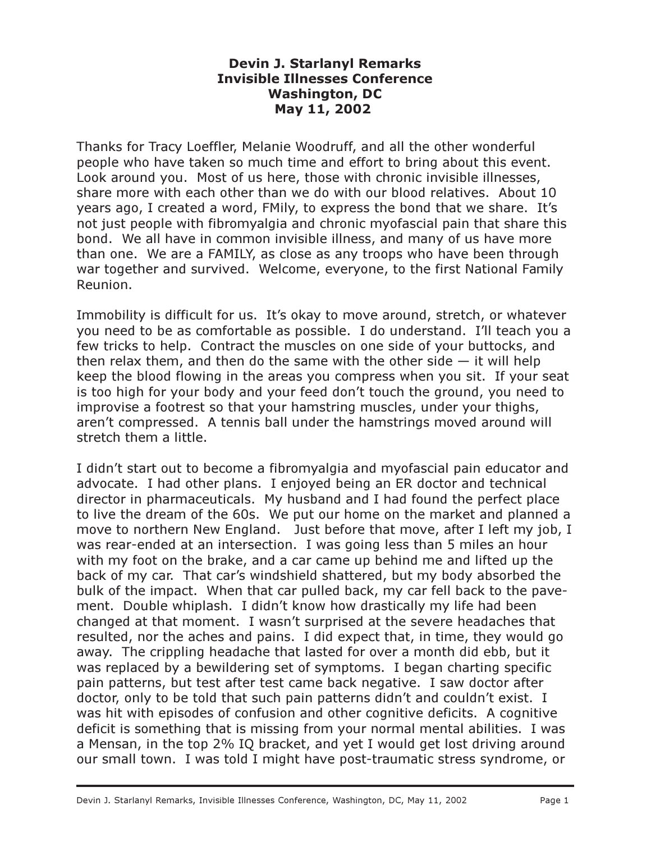## Devin J. Starlanyl Remarks Invisible Illnesses Conference Washington, DC May 11, 2002

Thanks for Tracy Loeffler, Melanie Woodruff, and all the other wonderful people who have taken so much time and effort to bring about this event. Look around you. Most of us here, those with chronic invisible illnesses, share more with each other than we do with our blood relatives. About 10 years ago, I created a word, FMily, to express the bond that we share. It's not just people with fibromyalgia and chronic myofascial pain that share this bond. We all have in common invisible illness, and many of us have more than one. We are a FAMILY, as close as any troops who have been through war together and survived. Welcome, everyone, to the first National Family Reunion.

Immobility is difficult for us. It's okay to move around, stretch, or whatever you need to be as comfortable as possible. I do understand. I'll teach you a few tricks to help. Contract the muscles on one side of your buttocks, and then relax them, and then do the same with the other side  $-$  it will help keep the blood flowing in the areas you compress when you sit. If your seat is too high for your body and your feed don't touch the ground, you need to improvise a footrest so that your hamstring muscles, under your thighs, aren't compressed. A tennis ball under the hamstrings moved around will stretch them a little.

I didn't start out to become a fibromyalgia and myofascial pain educator and advocate. I had other plans. I enjoyed being an ER doctor and technical director in pharmaceuticals. My husband and I had found the perfect place to live the dream of the 60s. We put our home on the market and planned a move to northern New England. Just before that move, after I left my job, I was rear-ended at an intersection. I was going less than 5 miles an hour with my foot on the brake, and a car came up behind me and lifted up the back of my car. That car's windshield shattered, but my body absorbed the bulk of the impact. When that car pulled back, my car fell back to the pavement. Double whiplash. I didn't know how drastically my life had been changed at that moment. I wasn't surprised at the severe headaches that resulted, nor the aches and pains. I did expect that, in time, they would go away. The crippling headache that lasted for over a month did ebb, but it was replaced by a bewildering set of symptoms. I began charting specific pain patterns, but test after test came back negative. I saw doctor after doctor, only to be told that such pain patterns didn't and couldn't exist. I was hit with episodes of confusion and other cognitive deficits. A cognitive deficit is something that is missing from your normal mental abilities. I was a Mensan, in the top 2% IQ bracket, and yet I would get lost driving around our small town. I was told I might have post-traumatic stress syndrome, or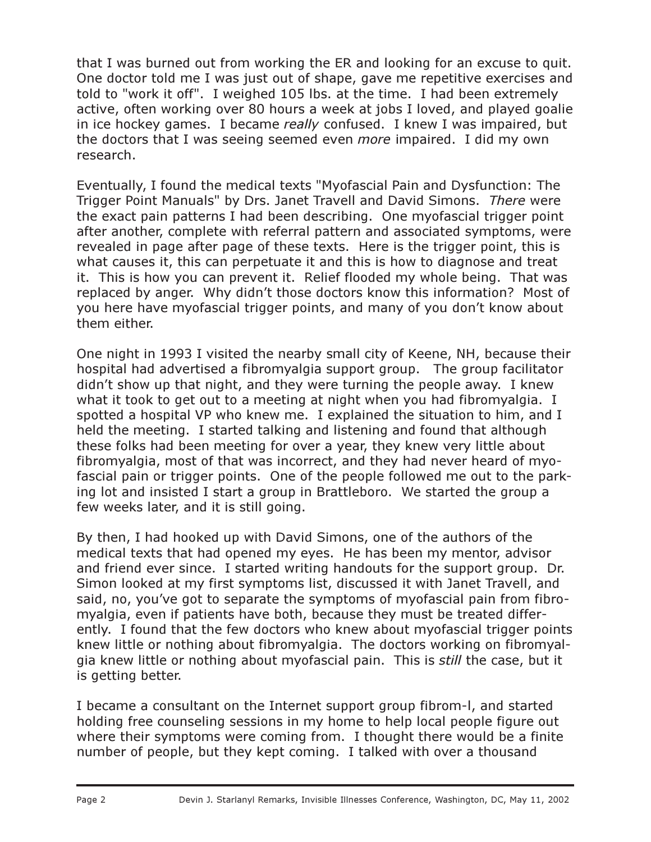that I was burned out from working the ER and looking for an excuse to quit. One doctor told me I was just out of shape, gave me repetitive exercises and told to "work it off". I weighed 105 lbs. at the time. I had been extremely active, often working over 80 hours a week at jobs I loved, and played goalie in ice hockey games. I became really confused. I knew I was impaired, but the doctors that I was seeing seemed even more impaired. I did my own research.

Eventually, I found the medical texts "Myofascial Pain and Dysfunction: The Trigger Point Manuals" by Drs. Janet Travell and David Simons. There were the exact pain patterns I had been describing. One myofascial trigger point after another, complete with referral pattern and associated symptoms, were revealed in page after page of these texts. Here is the trigger point, this is what causes it, this can perpetuate it and this is how to diagnose and treat it. This is how you can prevent it. Relief flooded my whole being. That was replaced by anger. Why didn't those doctors know this information? Most of you here have myofascial trigger points, and many of you don't know about them either.

One night in 1993 I visited the nearby small city of Keene, NH, because their hospital had advertised a fibromyalgia support group. The group facilitator didn't show up that night, and they were turning the people away. I knew what it took to get out to a meeting at night when you had fibromyalgia. I spotted a hospital VP who knew me. I explained the situation to him, and I held the meeting. I started talking and listening and found that although these folks had been meeting for over a year, they knew very little about fibromyalgia, most of that was incorrect, and they had never heard of myofascial pain or trigger points. One of the people followed me out to the parking lot and insisted I start a group in Brattleboro. We started the group a few weeks later, and it is still going.

By then, I had hooked up with David Simons, one of the authors of the medical texts that had opened my eyes. He has been my mentor, advisor and friend ever since. I started writing handouts for the support group. Dr. Simon looked at my first symptoms list, discussed it with Janet Travell, and said, no, you've got to separate the symptoms of myofascial pain from fibromyalgia, even if patients have both, because they must be treated differently. I found that the few doctors who knew about myofascial trigger points knew little or nothing about fibromyalgia. The doctors working on fibromyalgia knew little or nothing about myofascial pain. This is still the case, but it is getting better.

I became a consultant on the Internet support group fibrom-l, and started holding free counseling sessions in my home to help local people figure out where their symptoms were coming from. I thought there would be a finite number of people, but they kept coming. I talked with over a thousand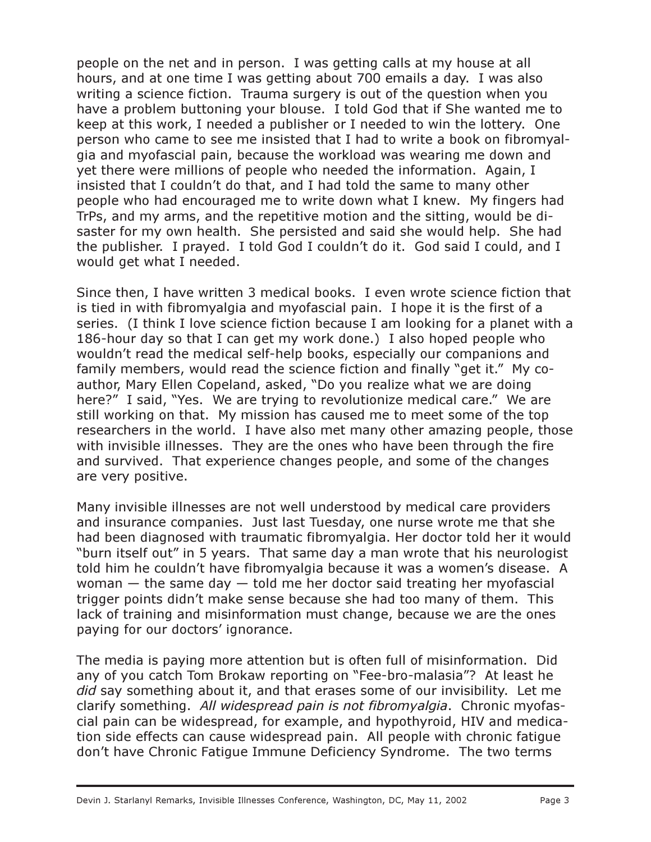people on the net and in person. I was getting calls at my house at all hours, and at one time I was getting about 700 emails a day. I was also writing a science fiction. Trauma surgery is out of the question when you have a problem buttoning your blouse. I told God that if She wanted me to keep at this work, I needed a publisher or I needed to win the lottery. One person who came to see me insisted that I had to write a book on fibromyalgia and myofascial pain, because the workload was wearing me down and yet there were millions of people who needed the information. Again, I insisted that I couldn't do that, and I had told the same to many other people who had encouraged me to write down what I knew. My fingers had TrPs, and my arms, and the repetitive motion and the sitting, would be disaster for my own health. She persisted and said she would help. She had the publisher. I prayed. I told God I couldn't do it. God said I could, and I would get what I needed.

Since then, I have written 3 medical books. I even wrote science fiction that is tied in with fibromyalgia and myofascial pain. I hope it is the first of a series. (I think I love science fiction because I am looking for a planet with a 186-hour day so that I can get my work done.) I also hoped people who wouldn't read the medical self-help books, especially our companions and family members, would read the science fiction and finally "get it." My coauthor, Mary Ellen Copeland, asked, "Do you realize what we are doing here?" I said, "Yes. We are trying to revolutionize medical care." We are still working on that. My mission has caused me to meet some of the top researchers in the world. I have also met many other amazing people, those with invisible illnesses. They are the ones who have been through the fire and survived. That experience changes people, and some of the changes are very positive.

Many invisible illnesses are not well understood by medical care providers and insurance companies. Just last Tuesday, one nurse wrote me that she had been diagnosed with traumatic fibromyalgia. Her doctor told her it would "burn itself out" in 5 years. That same day a man wrote that his neurologist told him he couldn't have fibromyalgia because it was a women's disease. A woman  $-$  the same day  $-$  told me her doctor said treating her myofascial trigger points didn't make sense because she had too many of them. This lack of training and misinformation must change, because we are the ones paying for our doctors' ignorance.

The media is paying more attention but is often full of misinformation. Did any of you catch Tom Brokaw reporting on "Fee-bro-malasia"? At least he did say something about it, and that erases some of our invisibility. Let me clarify something. All widespread pain is not fibromyalgia. Chronic myofascial pain can be widespread, for example, and hypothyroid, HIV and medication side effects can cause widespread pain. All people with chronic fatigue don't have Chronic Fatigue Immune Deficiency Syndrome. The two terms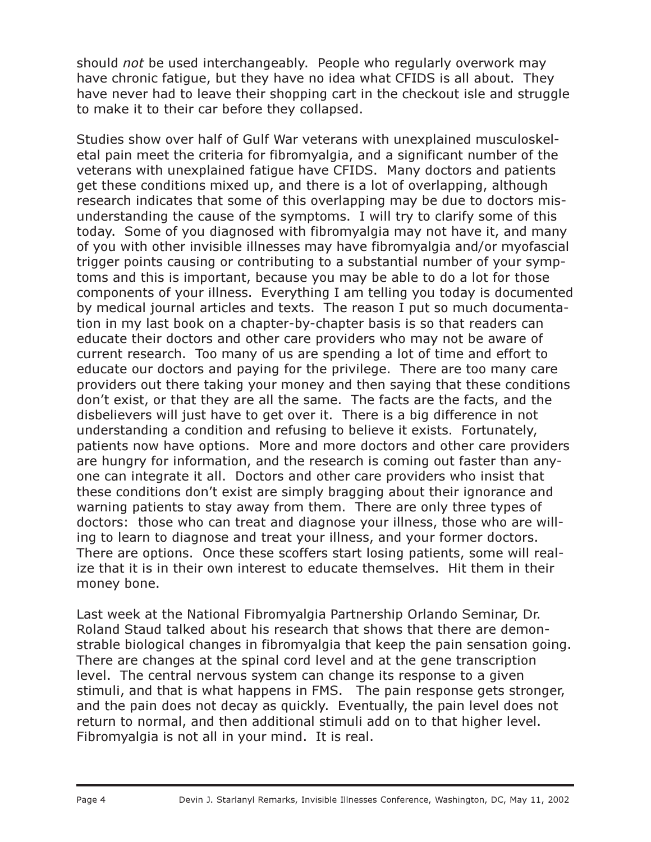should not be used interchangeably. People who regularly overwork may have chronic fatigue, but they have no idea what CFIDS is all about. They have never had to leave their shopping cart in the checkout isle and struggle to make it to their car before they collapsed.

Studies show over half of Gulf War veterans with unexplained musculoskeletal pain meet the criteria for fibromyalgia, and a significant number of the veterans with unexplained fatigue have CFIDS. Many doctors and patients get these conditions mixed up, and there is a lot of overlapping, although research indicates that some of this overlapping may be due to doctors misunderstanding the cause of the symptoms. I will try to clarify some of this today. Some of you diagnosed with fibromyalgia may not have it, and many of you with other invisible illnesses may have fibromyalgia and/or myofascial trigger points causing or contributing to a substantial number of your symptoms and this is important, because you may be able to do a lot for those components of your illness. Everything I am telling you today is documented by medical journal articles and texts. The reason I put so much documentation in my last book on a chapter-by-chapter basis is so that readers can educate their doctors and other care providers who may not be aware of current research. Too many of us are spending a lot of time and effort to educate our doctors and paying for the privilege. There are too many care providers out there taking your money and then saying that these conditions don't exist, or that they are all the same. The facts are the facts, and the disbelievers will just have to get over it. There is a big difference in not understanding a condition and refusing to believe it exists. Fortunately, patients now have options. More and more doctors and other care providers are hungry for information, and the research is coming out faster than anyone can integrate it all. Doctors and other care providers who insist that these conditions don't exist are simply bragging about their ignorance and warning patients to stay away from them. There are only three types of doctors: those who can treat and diagnose your illness, those who are willing to learn to diagnose and treat your illness, and your former doctors. There are options. Once these scoffers start losing patients, some will realize that it is in their own interest to educate themselves. Hit them in their money bone.

Last week at the National Fibromyalgia Partnership Orlando Seminar, Dr. Roland Staud talked about his research that shows that there are demonstrable biological changes in fibromyalgia that keep the pain sensation going. There are changes at the spinal cord level and at the gene transcription level. The central nervous system can change its response to a given stimuli, and that is what happens in FMS. The pain response gets stronger, and the pain does not decay as quickly. Eventually, the pain level does not return to normal, and then additional stimuli add on to that higher level. Fibromyalgia is not all in your mind. It is real.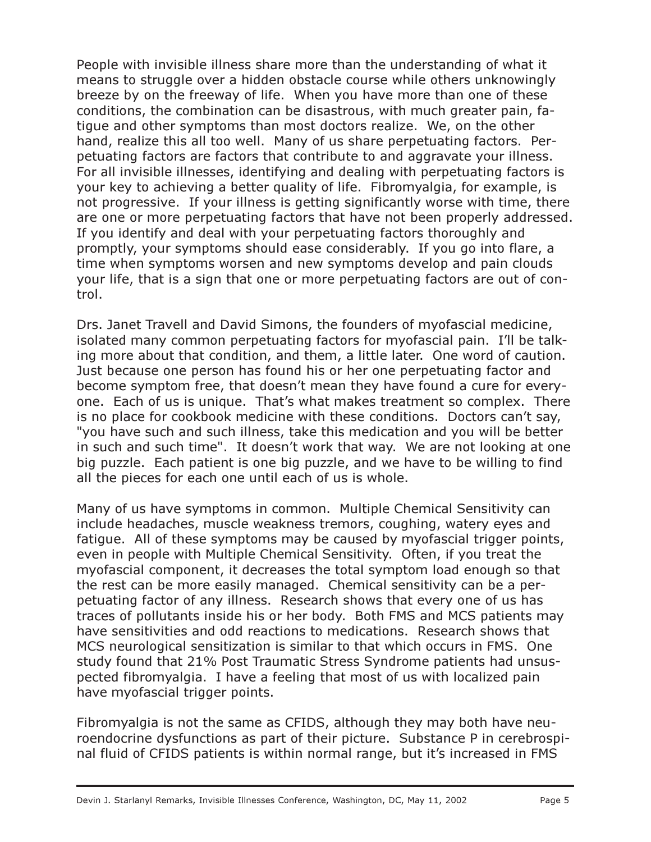People with invisible illness share more than the understanding of what it means to struggle over a hidden obstacle course while others unknowingly breeze by on the freeway of life. When you have more than one of these conditions, the combination can be disastrous, with much greater pain, fatigue and other symptoms than most doctors realize. We, on the other hand, realize this all too well. Many of us share perpetuating factors. Perpetuating factors are factors that contribute to and aggravate your illness. For all invisible illnesses, identifying and dealing with perpetuating factors is your key to achieving a better quality of life. Fibromyalgia, for example, is not progressive. If your illness is getting significantly worse with time, there are one or more perpetuating factors that have not been properly addressed. If you identify and deal with your perpetuating factors thoroughly and promptly, your symptoms should ease considerably. If you go into flare, a time when symptoms worsen and new symptoms develop and pain clouds your life, that is a sign that one or more perpetuating factors are out of control.

Drs. Janet Travell and David Simons, the founders of myofascial medicine, isolated many common perpetuating factors for myofascial pain. I'll be talking more about that condition, and them, a little later. One word of caution. Just because one person has found his or her one perpetuating factor and become symptom free, that doesn't mean they have found a cure for everyone. Each of us is unique. That's what makes treatment so complex. There is no place for cookbook medicine with these conditions. Doctors can't say, "you have such and such illness, take this medication and you will be better in such and such time". It doesn't work that way. We are not looking at one big puzzle. Each patient is one big puzzle, and we have to be willing to find all the pieces for each one until each of us is whole.

Many of us have symptoms in common. Multiple Chemical Sensitivity can include headaches, muscle weakness tremors, coughing, watery eyes and fatigue. All of these symptoms may be caused by myofascial trigger points, even in people with Multiple Chemical Sensitivity. Often, if you treat the myofascial component, it decreases the total symptom load enough so that the rest can be more easily managed. Chemical sensitivity can be a perpetuating factor of any illness. Research shows that every one of us has traces of pollutants inside his or her body. Both FMS and MCS patients may have sensitivities and odd reactions to medications. Research shows that MCS neurological sensitization is similar to that which occurs in FMS. One study found that 21% Post Traumatic Stress Syndrome patients had unsuspected fibromyalgia. I have a feeling that most of us with localized pain have myofascial trigger points.

Fibromyalgia is not the same as CFIDS, although they may both have neuroendocrine dysfunctions as part of their picture. Substance P in cerebrospinal fluid of CFIDS patients is within normal range, but it's increased in FMS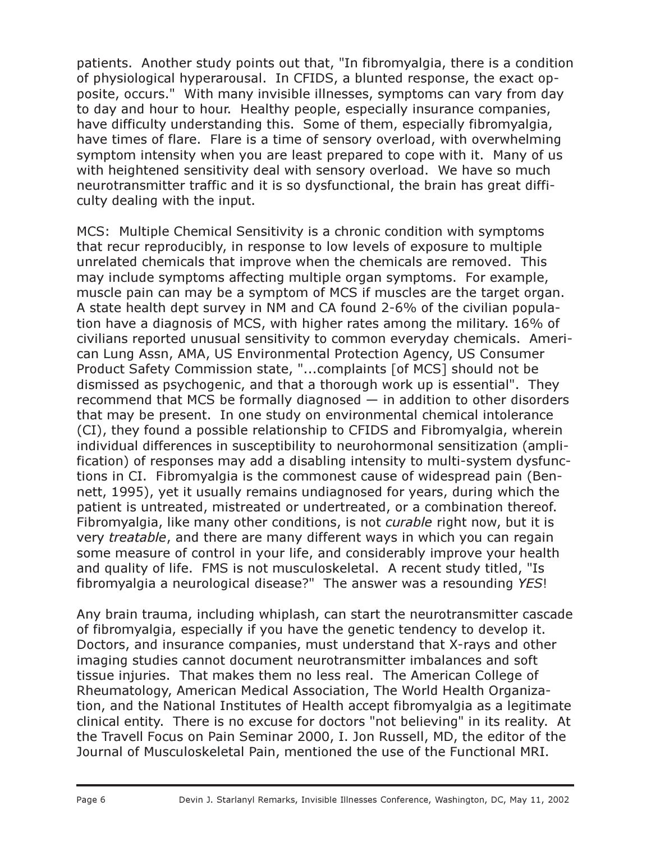patients. Another study points out that, "In fibromyalgia, there is a condition of physiological hyperarousal. In CFIDS, a blunted response, the exact opposite, occurs." With many invisible illnesses, symptoms can vary from day to day and hour to hour. Healthy people, especially insurance companies, have difficulty understanding this. Some of them, especially fibromyalgia, have times of flare. Flare is a time of sensory overload, with overwhelming symptom intensity when you are least prepared to cope with it. Many of us with heightened sensitivity deal with sensory overload. We have so much neurotransmitter traffic and it is so dysfunctional, the brain has great difficulty dealing with the input.

MCS: Multiple Chemical Sensitivity is a chronic condition with symptoms that recur reproducibly, in response to low levels of exposure to multiple unrelated chemicals that improve when the chemicals are removed. This may include symptoms affecting multiple organ symptoms. For example, muscle pain can may be a symptom of MCS if muscles are the target organ. A state health dept survey in NM and CA found 2-6% of the civilian population have a diagnosis of MCS, with higher rates among the military. 16% of civilians reported unusual sensitivity to common everyday chemicals. American Lung Assn, AMA, US Environmental Protection Agency, US Consumer Product Safety Commission state, "...complaints [of MCS] should not be dismissed as psychogenic, and that a thorough work up is essential". They recommend that MCS be formally diagnosed  $-$  in addition to other disorders that may be present. In one study on environmental chemical intolerance (CI), they found a possible relationship to CFIDS and Fibromyalgia, wherein individual differences in susceptibility to neurohormonal sensitization (amplification) of responses may add a disabling intensity to multi-system dysfunctions in CI. Fibromyalgia is the commonest cause of widespread pain (Bennett, 1995), yet it usually remains undiagnosed for years, during which the patient is untreated, mistreated or undertreated, or a combination thereof. Fibromyalgia, like many other conditions, is not curable right now, but it is very *treatable*, and there are many different ways in which you can regain some measure of control in your life, and considerably improve your health and quality of life. FMS is not musculoskeletal. A recent study titled, "Is fibromyalgia a neurological disease?" The answer was a resounding YES!

Any brain trauma, including whiplash, can start the neurotransmitter cascade of fibromyalgia, especially if you have the genetic tendency to develop it. Doctors, and insurance companies, must understand that X-rays and other imaging studies cannot document neurotransmitter imbalances and soft tissue injuries. That makes them no less real. The American College of Rheumatology, American Medical Association, The World Health Organization, and the National Institutes of Health accept fibromyalgia as a legitimate clinical entity. There is no excuse for doctors "not believing" in its reality. At the Travell Focus on Pain Seminar 2000, I. Jon Russell, MD, the editor of the Journal of Musculoskeletal Pain, mentioned the use of the Functional MRI.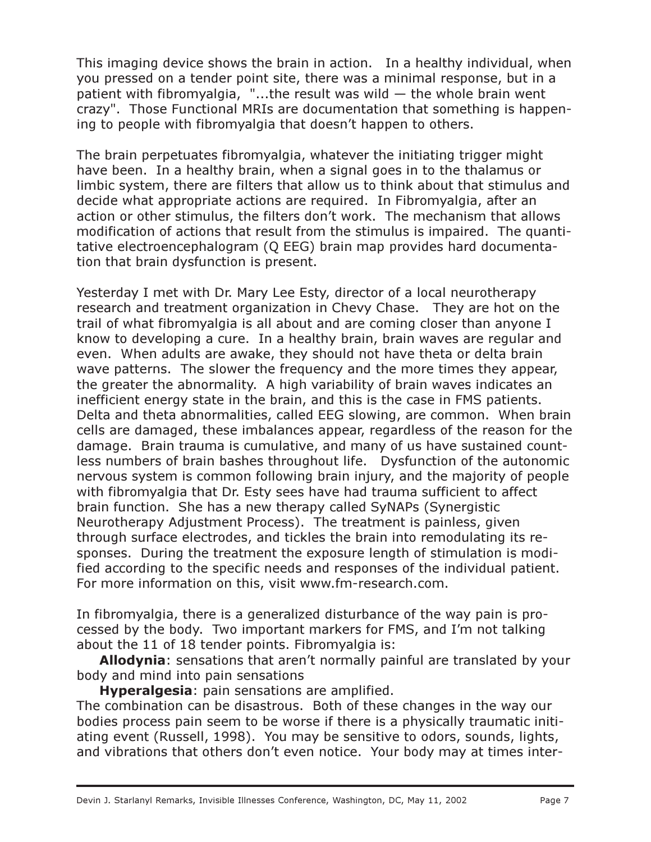This imaging device shows the brain in action. In a healthy individual, when you pressed on a tender point site, there was a minimal response, but in a patient with fibromyalgia, "...the result was wild  $-$  the whole brain went crazy". Those Functional MRIs are documentation that something is happening to people with fibromyalgia that doesn't happen to others.

The brain perpetuates fibromyalgia, whatever the initiating trigger might have been. In a healthy brain, when a signal goes in to the thalamus or limbic system, there are filters that allow us to think about that stimulus and decide what appropriate actions are required. In Fibromyalgia, after an action or other stimulus, the filters don't work. The mechanism that allows modification of actions that result from the stimulus is impaired. The quantitative electroencephalogram (Q EEG) brain map provides hard documentation that brain dysfunction is present.

Yesterday I met with Dr. Mary Lee Esty, director of a local neurotherapy research and treatment organization in Chevy Chase. They are hot on the trail of what fibromyalgia is all about and are coming closer than anyone I know to developing a cure. In a healthy brain, brain waves are regular and even. When adults are awake, they should not have theta or delta brain wave patterns. The slower the frequency and the more times they appear, the greater the abnormality. A high variability of brain waves indicates an inefficient energy state in the brain, and this is the case in FMS patients. Delta and theta abnormalities, called EEG slowing, are common. When brain cells are damaged, these imbalances appear, regardless of the reason for the damage. Brain trauma is cumulative, and many of us have sustained countless numbers of brain bashes throughout life. Dysfunction of the autonomic nervous system is common following brain injury, and the majority of people with fibromyalgia that Dr. Esty sees have had trauma sufficient to affect brain function. She has a new therapy called SyNAPs (Synergistic Neurotherapy Adjustment Process). The treatment is painless, given through surface electrodes, and tickles the brain into remodulating its responses. During the treatment the exposure length of stimulation is modified according to the specific needs and responses of the individual patient. For more information on this, visit www.fm-research.com.

In fibromyalgia, there is a generalized disturbance of the way pain is processed by the body. Two important markers for FMS, and I'm not talking about the 11 of 18 tender points. Fibromyalgia is:

Allodynia: sensations that aren't normally painful are translated by your body and mind into pain sensations

Hyperalgesia: pain sensations are amplified.

The combination can be disastrous. Both of these changes in the way our bodies process pain seem to be worse if there is a physically traumatic initiating event (Russell, 1998). You may be sensitive to odors, sounds, lights, and vibrations that others don't even notice. Your body may at times inter-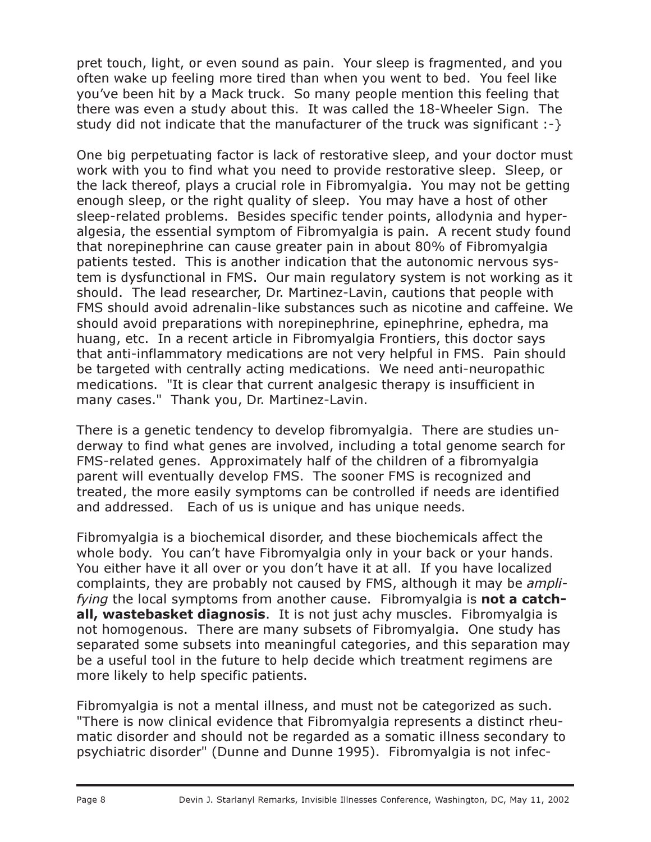pret touch, light, or even sound as pain. Your sleep is fragmented, and you often wake up feeling more tired than when you went to bed. You feel like you've been hit by a Mack truck. So many people mention this feeling that there was even a study about this. It was called the 18-Wheeler Sign. The study did not indicate that the manufacturer of the truck was significant :-}

One big perpetuating factor is lack of restorative sleep, and your doctor must work with you to find what you need to provide restorative sleep. Sleep, or the lack thereof, plays a crucial role in Fibromyalgia. You may not be getting enough sleep, or the right quality of sleep. You may have a host of other sleep-related problems. Besides specific tender points, allodynia and hyperalgesia, the essential symptom of Fibromyalgia is pain. A recent study found that norepinephrine can cause greater pain in about 80% of Fibromyalgia patients tested. This is another indication that the autonomic nervous system is dysfunctional in FMS. Our main regulatory system is not working as it should. The lead researcher, Dr. Martinez-Lavin, cautions that people with FMS should avoid adrenalin-like substances such as nicotine and caffeine. We should avoid preparations with norepinephrine, epinephrine, ephedra, ma huang, etc. In a recent article in Fibromyalgia Frontiers, this doctor says that anti-inflammatory medications are not very helpful in FMS. Pain should be targeted with centrally acting medications. We need anti-neuropathic medications. "It is clear that current analgesic therapy is insufficient in many cases." Thank you, Dr. Martinez-Lavin.

There is a genetic tendency to develop fibromyalgia. There are studies underway to find what genes are involved, including a total genome search for FMS-related genes. Approximately half of the children of a fibromyalgia parent will eventually develop FMS. The sooner FMS is recognized and treated, the more easily symptoms can be controlled if needs are identified and addressed. Each of us is unique and has unique needs.

Fibromyalgia is a biochemical disorder, and these biochemicals affect the whole body. You can't have Fibromyalgia only in your back or your hands. You either have it all over or you don't have it at all. If you have localized complaints, they are probably not caused by FMS, although it may be amplifying the local symptoms from another cause. Fibromyalgia is **not a catch**all, wastebasket diagnosis. It is not just achy muscles. Fibromyalgia is not homogenous. There are many subsets of Fibromyalgia. One study has separated some subsets into meaningful categories, and this separation may be a useful tool in the future to help decide which treatment regimens are more likely to help specific patients.

Fibromyalgia is not a mental illness, and must not be categorized as such. "There is now clinical evidence that Fibromyalgia represents a distinct rheumatic disorder and should not be regarded as a somatic illness secondary to psychiatric disorder" (Dunne and Dunne 1995). Fibromyalgia is not infec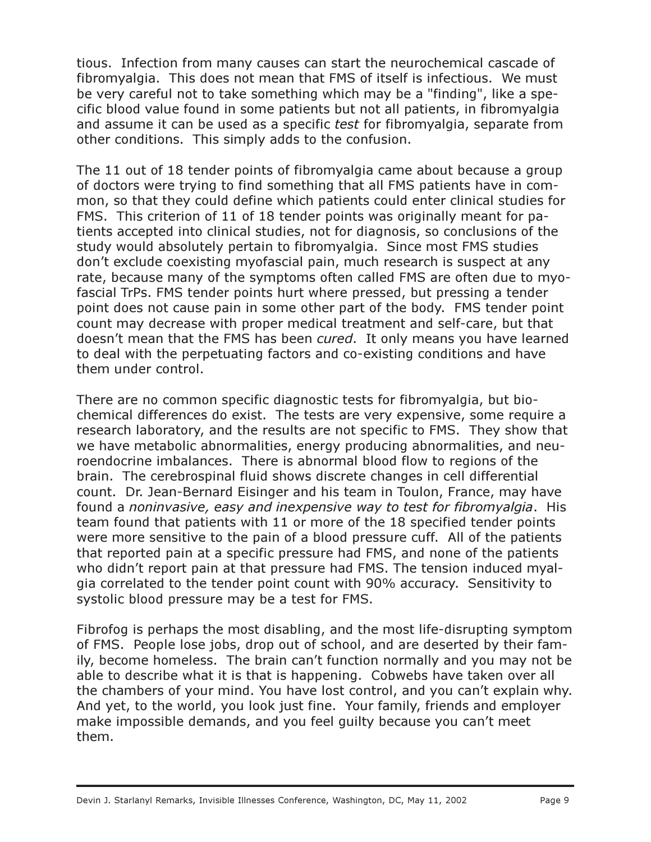tious. Infection from many causes can start the neurochemical cascade of fibromyalgia. This does not mean that FMS of itself is infectious. We must be very careful not to take something which may be a "finding", like a specific blood value found in some patients but not all patients, in fibromyalgia and assume it can be used as a specific *test* for fibromyalgia, separate from other conditions. This simply adds to the confusion.

The 11 out of 18 tender points of fibromyalgia came about because a group of doctors were trying to find something that all FMS patients have in common, so that they could define which patients could enter clinical studies for FMS. This criterion of 11 of 18 tender points was originally meant for patients accepted into clinical studies, not for diagnosis, so conclusions of the study would absolutely pertain to fibromyalgia. Since most FMS studies don't exclude coexisting myofascial pain, much research is suspect at any rate, because many of the symptoms often called FMS are often due to myofascial TrPs. FMS tender points hurt where pressed, but pressing a tender point does not cause pain in some other part of the body. FMS tender point count may decrease with proper medical treatment and self-care, but that doesn't mean that the FMS has been cured. It only means you have learned to deal with the perpetuating factors and co-existing conditions and have them under control.

There are no common specific diagnostic tests for fibromyalgia, but biochemical differences do exist. The tests are very expensive, some require a research laboratory, and the results are not specific to FMS. They show that we have metabolic abnormalities, energy producing abnormalities, and neuroendocrine imbalances. There is abnormal blood flow to regions of the brain. The cerebrospinal fluid shows discrete changes in cell differential count. Dr. Jean-Bernard Eisinger and his team in Toulon, France, may have found a noninvasive, easy and inexpensive way to test for fibromyalgia. His team found that patients with 11 or more of the 18 specified tender points were more sensitive to the pain of a blood pressure cuff. All of the patients that reported pain at a specific pressure had FMS, and none of the patients who didn't report pain at that pressure had FMS. The tension induced myalgia correlated to the tender point count with 90% accuracy. Sensitivity to systolic blood pressure may be a test for FMS.

Fibrofog is perhaps the most disabling, and the most life-disrupting symptom of FMS. People lose jobs, drop out of school, and are deserted by their family, become homeless. The brain can't function normally and you may not be able to describe what it is that is happening. Cobwebs have taken over all the chambers of your mind. You have lost control, and you can't explain why. And yet, to the world, you look just fine. Your family, friends and employer make impossible demands, and you feel guilty because you can't meet them.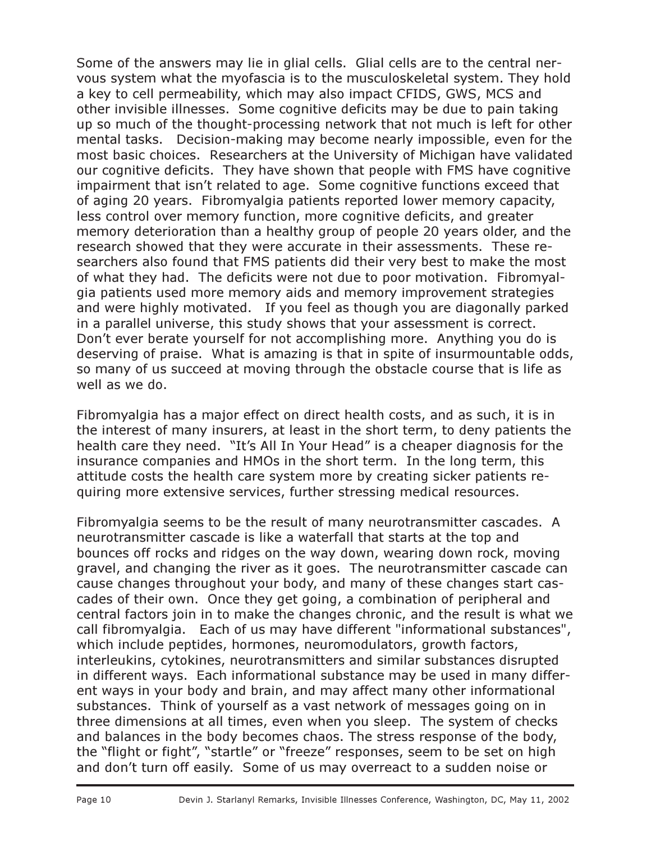Some of the answers may lie in glial cells. Glial cells are to the central nervous system what the myofascia is to the musculoskeletal system. They hold a key to cell permeability, which may also impact CFIDS, GWS, MCS and other invisible illnesses. Some cognitive deficits may be due to pain taking up so much of the thought-processing network that not much is left for other mental tasks. Decision-making may become nearly impossible, even for the most basic choices. Researchers at the University of Michigan have validated our cognitive deficits. They have shown that people with FMS have cognitive impairment that isn't related to age. Some cognitive functions exceed that of aging 20 years. Fibromyalgia patients reported lower memory capacity, less control over memory function, more cognitive deficits, and greater memory deterioration than a healthy group of people 20 years older, and the research showed that they were accurate in their assessments. These researchers also found that FMS patients did their very best to make the most of what they had. The deficits were not due to poor motivation. Fibromyalgia patients used more memory aids and memory improvement strategies and were highly motivated. If you feel as though you are diagonally parked in a parallel universe, this study shows that your assessment is correct. Don't ever berate yourself for not accomplishing more. Anything you do is deserving of praise. What is amazing is that in spite of insurmountable odds, so many of us succeed at moving through the obstacle course that is life as well as we do.

Fibromyalgia has a major effect on direct health costs, and as such, it is in the interest of many insurers, at least in the short term, to deny patients the health care they need. "It's All In Your Head" is a cheaper diagnosis for the insurance companies and HMOs in the short term. In the long term, this attitude costs the health care system more by creating sicker patients requiring more extensive services, further stressing medical resources.

Fibromyalgia seems to be the result of many neurotransmitter cascades. A neurotransmitter cascade is like a waterfall that starts at the top and bounces off rocks and ridges on the way down, wearing down rock, moving gravel, and changing the river as it goes. The neurotransmitter cascade can cause changes throughout your body, and many of these changes start cascades of their own. Once they get going, a combination of peripheral and central factors join in to make the changes chronic, and the result is what we call fibromyalgia. Each of us may have different "informational substances", which include peptides, hormones, neuromodulators, growth factors, interleukins, cytokines, neurotransmitters and similar substances disrupted in different ways. Each informational substance may be used in many different ways in your body and brain, and may affect many other informational substances. Think of yourself as a vast network of messages going on in three dimensions at all times, even when you sleep. The system of checks and balances in the body becomes chaos. The stress response of the body, the "flight or fight", "startle" or "freeze" responses, seem to be set on high and don't turn off easily. Some of us may overreact to a sudden noise or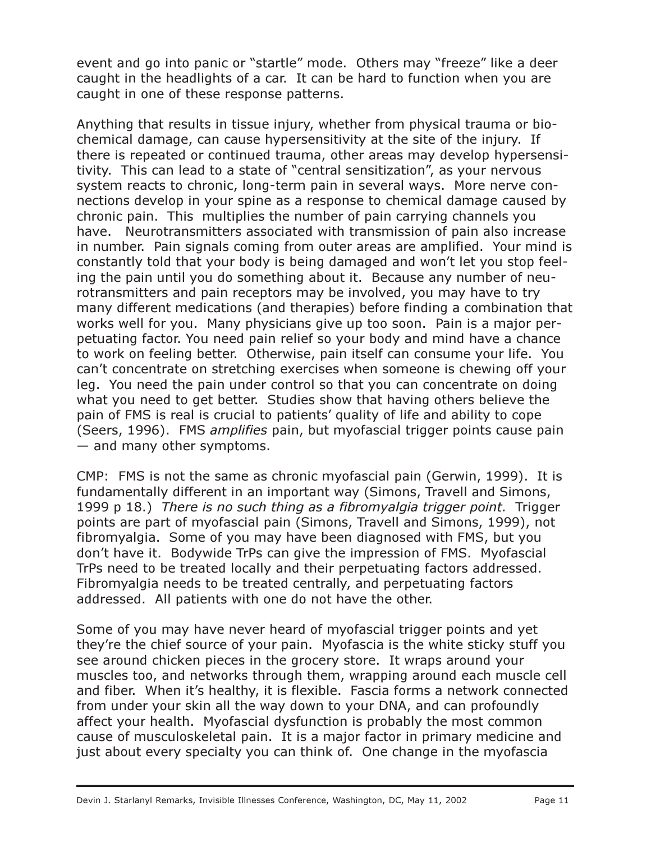event and go into panic or "startle" mode. Others may "freeze" like a deer caught in the headlights of a car. It can be hard to function when you are caught in one of these response patterns.

Anything that results in tissue injury, whether from physical trauma or biochemical damage, can cause hypersensitivity at the site of the injury. If there is repeated or continued trauma, other areas may develop hypersensitivity. This can lead to a state of "central sensitization", as your nervous system reacts to chronic, long-term pain in several ways. More nerve connections develop in your spine as a response to chemical damage caused by chronic pain. This multiplies the number of pain carrying channels you have. Neurotransmitters associated with transmission of pain also increase in number. Pain signals coming from outer areas are amplified. Your mind is constantly told that your body is being damaged and won't let you stop feeling the pain until you do something about it. Because any number of neurotransmitters and pain receptors may be involved, you may have to try many different medications (and therapies) before finding a combination that works well for you. Many physicians give up too soon. Pain is a major perpetuating factor. You need pain relief so your body and mind have a chance to work on feeling better. Otherwise, pain itself can consume your life. You can't concentrate on stretching exercises when someone is chewing off your leg. You need the pain under control so that you can concentrate on doing what you need to get better. Studies show that having others believe the pain of FMS is real is crucial to patients' quality of life and ability to cope (Seers, 1996). FMS amplifies pain, but myofascial trigger points cause pain — and many other symptoms.

CMP: FMS is not the same as chronic myofascial pain (Gerwin, 1999). It is fundamentally different in an important way (Simons, Travell and Simons, 1999 p 18.) There is no such thing as a fibromyalgia trigger point. Trigger points are part of myofascial pain (Simons, Travell and Simons, 1999), not fibromyalgia. Some of you may have been diagnosed with FMS, but you don't have it. Bodywide TrPs can give the impression of FMS. Myofascial TrPs need to be treated locally and their perpetuating factors addressed. Fibromyalgia needs to be treated centrally, and perpetuating factors addressed. All patients with one do not have the other.

Some of you may have never heard of myofascial trigger points and yet they're the chief source of your pain. Myofascia is the white sticky stuff you see around chicken pieces in the grocery store. It wraps around your muscles too, and networks through them, wrapping around each muscle cell and fiber. When it's healthy, it is flexible. Fascia forms a network connected from under your skin all the way down to your DNA, and can profoundly affect your health. Myofascial dysfunction is probably the most common cause of musculoskeletal pain. It is a major factor in primary medicine and just about every specialty you can think of. One change in the myofascia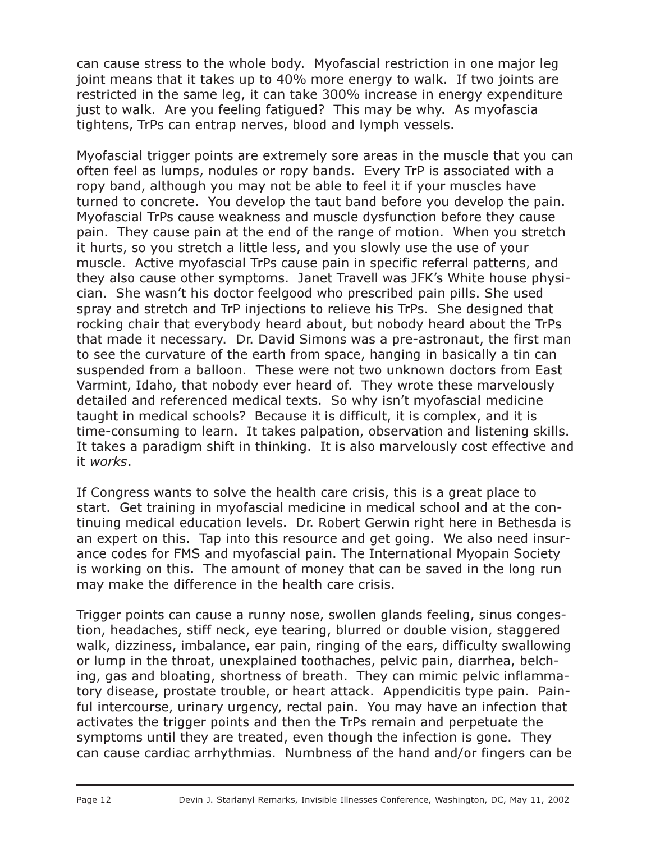can cause stress to the whole body. Myofascial restriction in one major leg joint means that it takes up to 40% more energy to walk. If two joints are restricted in the same leg, it can take 300% increase in energy expenditure just to walk. Are you feeling fatigued? This may be why. As myofascia tightens, TrPs can entrap nerves, blood and lymph vessels.

Myofascial trigger points are extremely sore areas in the muscle that you can often feel as lumps, nodules or ropy bands. Every TrP is associated with a ropy band, although you may not be able to feel it if your muscles have turned to concrete. You develop the taut band before you develop the pain. Myofascial TrPs cause weakness and muscle dysfunction before they cause pain. They cause pain at the end of the range of motion. When you stretch it hurts, so you stretch a little less, and you slowly use the use of your muscle. Active myofascial TrPs cause pain in specific referral patterns, and they also cause other symptoms. Janet Travell was JFK's White house physician. She wasn't his doctor feelgood who prescribed pain pills. She used spray and stretch and TrP injections to relieve his TrPs. She designed that rocking chair that everybody heard about, but nobody heard about the TrPs that made it necessary. Dr. David Simons was a pre-astronaut, the first man to see the curvature of the earth from space, hanging in basically a tin can suspended from a balloon. These were not two unknown doctors from East Varmint, Idaho, that nobody ever heard of. They wrote these marvelously detailed and referenced medical texts. So why isn't myofascial medicine taught in medical schools? Because it is difficult, it is complex, and it is time-consuming to learn. It takes palpation, observation and listening skills. It takes a paradigm shift in thinking. It is also marvelously cost effective and it works.

If Congress wants to solve the health care crisis, this is a great place to start. Get training in myofascial medicine in medical school and at the continuing medical education levels. Dr. Robert Gerwin right here in Bethesda is an expert on this. Tap into this resource and get going. We also need insurance codes for FMS and myofascial pain. The International Myopain Society is working on this. The amount of money that can be saved in the long run may make the difference in the health care crisis.

Trigger points can cause a runny nose, swollen glands feeling, sinus congestion, headaches, stiff neck, eye tearing, blurred or double vision, staggered walk, dizziness, imbalance, ear pain, ringing of the ears, difficulty swallowing or lump in the throat, unexplained toothaches, pelvic pain, diarrhea, belching, gas and bloating, shortness of breath. They can mimic pelvic inflammatory disease, prostate trouble, or heart attack. Appendicitis type pain. Painful intercourse, urinary urgency, rectal pain. You may have an infection that activates the trigger points and then the TrPs remain and perpetuate the symptoms until they are treated, even though the infection is gone. They can cause cardiac arrhythmias. Numbness of the hand and/or fingers can be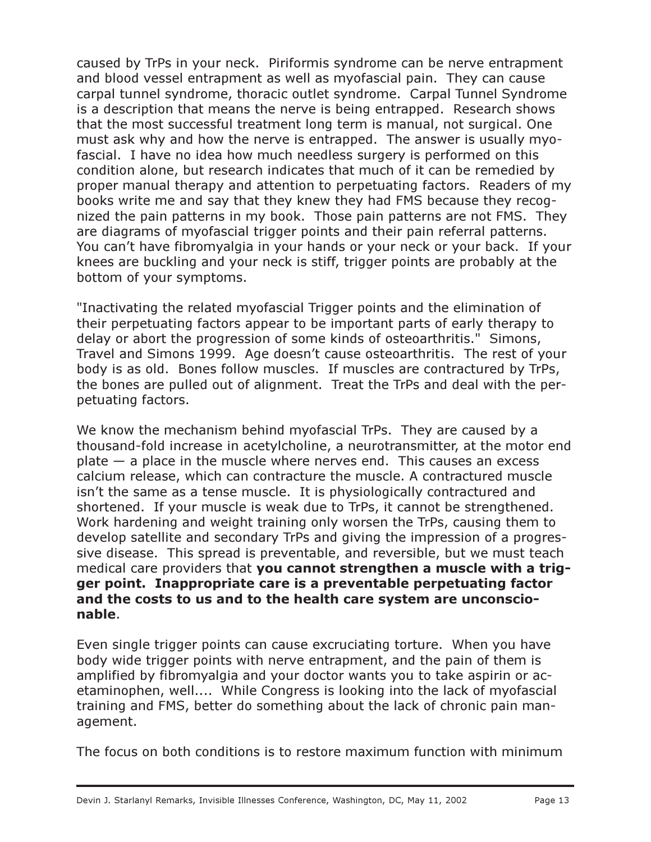caused by TrPs in your neck. Piriformis syndrome can be nerve entrapment and blood vessel entrapment as well as myofascial pain. They can cause carpal tunnel syndrome, thoracic outlet syndrome. Carpal Tunnel Syndrome is a description that means the nerve is being entrapped. Research shows that the most successful treatment long term is manual, not surgical. One must ask why and how the nerve is entrapped. The answer is usually myofascial. I have no idea how much needless surgery is performed on this condition alone, but research indicates that much of it can be remedied by proper manual therapy and attention to perpetuating factors. Readers of my books write me and say that they knew they had FMS because they recognized the pain patterns in my book. Those pain patterns are not FMS. They are diagrams of myofascial trigger points and their pain referral patterns. You can't have fibromyalgia in your hands or your neck or your back. If your knees are buckling and your neck is stiff, trigger points are probably at the bottom of your symptoms.

"Inactivating the related myofascial Trigger points and the elimination of their perpetuating factors appear to be important parts of early therapy to delay or abort the progression of some kinds of osteoarthritis." Simons, Travel and Simons 1999. Age doesn't cause osteoarthritis. The rest of your body is as old. Bones follow muscles. If muscles are contractured by TrPs, the bones are pulled out of alignment. Treat the TrPs and deal with the perpetuating factors.

We know the mechanism behind myofascial TrPs. They are caused by a thousand-fold increase in acetylcholine, a neurotransmitter, at the motor end  $plate - a place in the muscle where perves end. This causes an excess$ calcium release, which can contracture the muscle. A contractured muscle isn't the same as a tense muscle. It is physiologically contractured and shortened. If your muscle is weak due to TrPs, it cannot be strengthened. Work hardening and weight training only worsen the TrPs, causing them to develop satellite and secondary TrPs and giving the impression of a progressive disease. This spread is preventable, and reversible, but we must teach medical care providers that you cannot strengthen a muscle with a trigger point. Inappropriate care is a preventable perpetuating factor and the costs to us and to the health care system are unconscionable.

Even single trigger points can cause excruciating torture. When you have body wide trigger points with nerve entrapment, and the pain of them is amplified by fibromyalgia and your doctor wants you to take aspirin or acetaminophen, well.... While Congress is looking into the lack of myofascial training and FMS, better do something about the lack of chronic pain management.

The focus on both conditions is to restore maximum function with minimum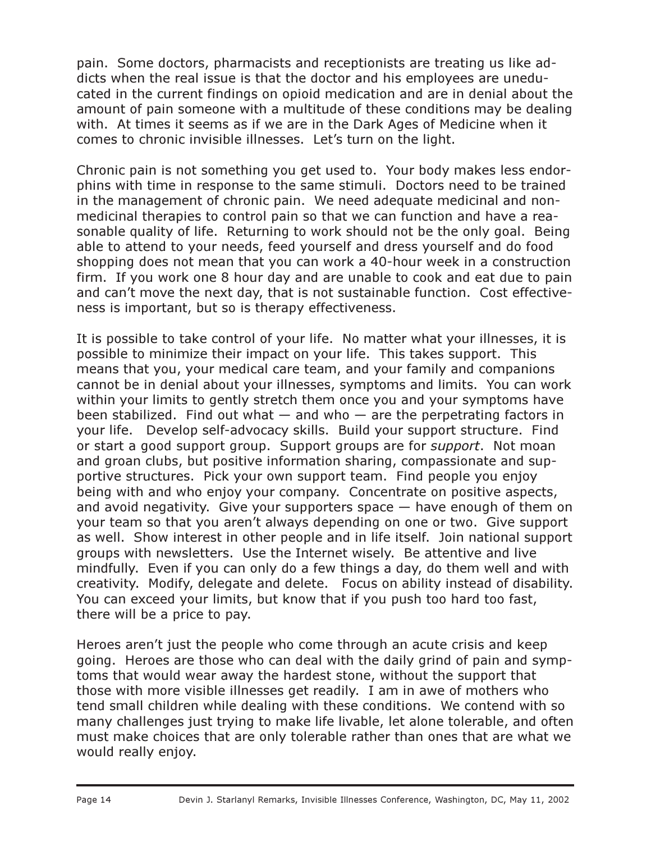pain. Some doctors, pharmacists and receptionists are treating us like addicts when the real issue is that the doctor and his employees are uneducated in the current findings on opioid medication and are in denial about the amount of pain someone with a multitude of these conditions may be dealing with. At times it seems as if we are in the Dark Ages of Medicine when it comes to chronic invisible illnesses. Let's turn on the light.

Chronic pain is not something you get used to. Your body makes less endorphins with time in response to the same stimuli. Doctors need to be trained in the management of chronic pain. We need adequate medicinal and nonmedicinal therapies to control pain so that we can function and have a reasonable quality of life. Returning to work should not be the only goal. Being able to attend to your needs, feed yourself and dress yourself and do food shopping does not mean that you can work a 40-hour week in a construction firm. If you work one 8 hour day and are unable to cook and eat due to pain and can't move the next day, that is not sustainable function. Cost effectiveness is important, but so is therapy effectiveness.

It is possible to take control of your life. No matter what your illnesses, it is possible to minimize their impact on your life. This takes support. This means that you, your medical care team, and your family and companions cannot be in denial about your illnesses, symptoms and limits. You can work within your limits to gently stretch them once you and your symptoms have been stabilized. Find out what  $-$  and who  $-$  are the perpetrating factors in your life. Develop self-advocacy skills. Build your support structure. Find or start a good support group. Support groups are for support. Not moan and groan clubs, but positive information sharing, compassionate and supportive structures. Pick your own support team. Find people you enjoy being with and who enjoy your company. Concentrate on positive aspects, and avoid negativity. Give your supporters space — have enough of them on your team so that you aren't always depending on one or two. Give support as well. Show interest in other people and in life itself. Join national support groups with newsletters. Use the Internet wisely. Be attentive and live mindfully. Even if you can only do a few things a day, do them well and with creativity. Modify, delegate and delete. Focus on ability instead of disability. You can exceed your limits, but know that if you push too hard too fast, there will be a price to pay.

Heroes aren't just the people who come through an acute crisis and keep going. Heroes are those who can deal with the daily grind of pain and symptoms that would wear away the hardest stone, without the support that those with more visible illnesses get readily. I am in awe of mothers who tend small children while dealing with these conditions. We contend with so many challenges just trying to make life livable, let alone tolerable, and often must make choices that are only tolerable rather than ones that are what we would really enjoy.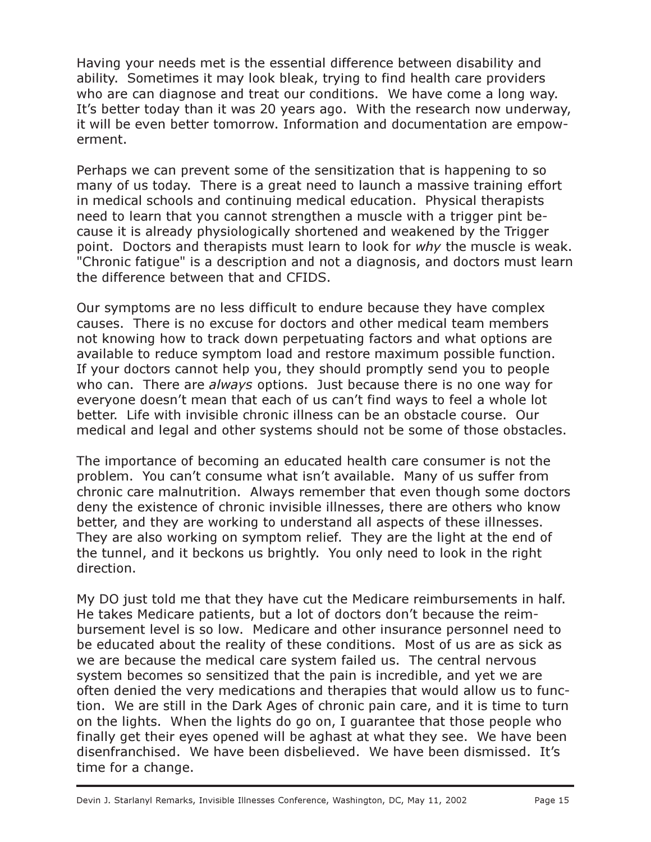Having your needs met is the essential difference between disability and ability. Sometimes it may look bleak, trying to find health care providers who are can diagnose and treat our conditions. We have come a long way. It's better today than it was 20 years ago. With the research now underway, it will be even better tomorrow. Information and documentation are empowerment.

Perhaps we can prevent some of the sensitization that is happening to so many of us today. There is a great need to launch a massive training effort in medical schools and continuing medical education. Physical therapists need to learn that you cannot strengthen a muscle with a trigger pint because it is already physiologically shortened and weakened by the Trigger point. Doctors and therapists must learn to look for why the muscle is weak. "Chronic fatigue" is a description and not a diagnosis, and doctors must learn the difference between that and CFIDS.

Our symptoms are no less difficult to endure because they have complex causes. There is no excuse for doctors and other medical team members not knowing how to track down perpetuating factors and what options are available to reduce symptom load and restore maximum possible function. If your doctors cannot help you, they should promptly send you to people who can. There are *always* options. Just because there is no one way for everyone doesn't mean that each of us can't find ways to feel a whole lot better. Life with invisible chronic illness can be an obstacle course. Our medical and legal and other systems should not be some of those obstacles.

The importance of becoming an educated health care consumer is not the problem. You can't consume what isn't available. Many of us suffer from chronic care malnutrition. Always remember that even though some doctors deny the existence of chronic invisible illnesses, there are others who know better, and they are working to understand all aspects of these illnesses. They are also working on symptom relief. They are the light at the end of the tunnel, and it beckons us brightly. You only need to look in the right direction.

My DO just told me that they have cut the Medicare reimbursements in half. He takes Medicare patients, but a lot of doctors don't because the reimbursement level is so low. Medicare and other insurance personnel need to be educated about the reality of these conditions. Most of us are as sick as we are because the medical care system failed us. The central nervous system becomes so sensitized that the pain is incredible, and yet we are often denied the very medications and therapies that would allow us to function. We are still in the Dark Ages of chronic pain care, and it is time to turn on the lights. When the lights do go on, I guarantee that those people who finally get their eyes opened will be aghast at what they see. We have been disenfranchised. We have been disbelieved. We have been dismissed. It's time for a change.